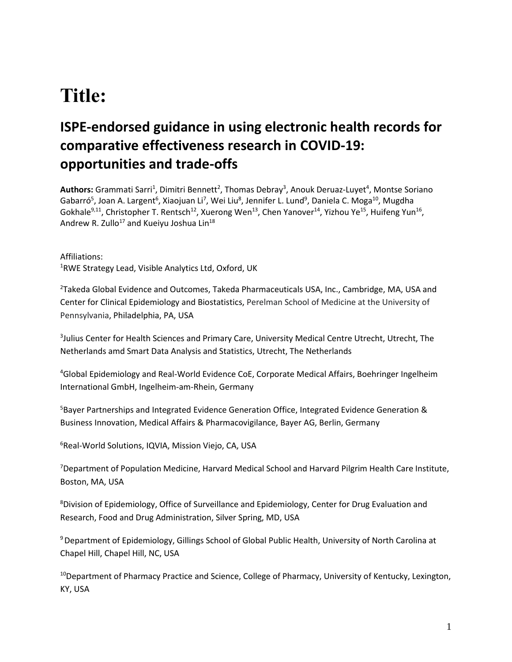# **Title:**

## **ISPE-endorsed guidance in using electronic health records for comparative effectiveness research in COVID-19: opportunities and trade-offs**

Authors: Grammati Sarri<sup>1</sup>, Dimitri Bennett<sup>2</sup>, Thomas Debray<sup>3</sup>, Anouk Deruaz-Luyet<sup>4</sup>, Montse Soriano Gabarró<sup>5</sup>, Joan A. Largent<sup>6</sup>, Xiaojuan Li<sup>7</sup>, Wei Liu<sup>8</sup>, Jennifer L. Lund<sup>9</sup>, Daniela C. Moga<sup>10</sup>, Mugdha Gokhale<sup>9,11</sup>, Christopher T. Rentsch<sup>12</sup>, Xuerong Wen<sup>13</sup>, Chen Yanover<sup>14</sup>, Yizhou Ye<sup>15</sup>, Huifeng Yun<sup>16</sup>, Andrew R. Zullo<sup>17</sup> and Kueiyu Joshua Lin<sup>18</sup>

Affiliations: <sup>1</sup>RWE Strategy Lead, Visible Analytics Ltd, Oxford, UK

<sup>2</sup>Takeda Global Evidence and Outcomes, Takeda Pharmaceuticals USA, Inc., Cambridge, MA, USA and Center for Clinical Epidemiology and Biostatistics, Perelman School of Medicine at the University of Pennsylvania, Philadelphia, PA, USA

3 Julius Center for Health Sciences and Primary Care, University Medical Centre Utrecht, Utrecht, The Netherlands amd Smart Data Analysis and Statistics, Utrecht, The Netherlands

<sup>4</sup>Global Epidemiology and Real-World Evidence CoE, Corporate Medical Affairs, Boehringer Ingelheim International GmbH, Ingelheim-am-Rhein, Germany

<sup>5</sup>Bayer Partnerships and Integrated Evidence Generation Office, Integrated Evidence Generation & Business Innovation, Medical Affairs & Pharmacovigilance, Bayer AG, Berlin, Germany

<sup>6</sup>Real-World Solutions, IQVIA, Mission Viejo, CA, USA

<sup>7</sup>Department of Population Medicine, Harvard Medical School and Harvard Pilgrim Health Care Institute, Boston, MA, USA

<sup>8</sup>Division of Epidemiology, Office of Surveillance and Epidemiology, Center for Drug Evaluation and Research, Food and Drug Administration, Silver Spring, MD, USA

<sup>9</sup>Department of Epidemiology, Gillings School of Global Public Health, University of North Carolina at Chapel Hill, Chapel Hill, NC, USA

<sup>10</sup>Department of Pharmacy Practice and Science, College of Pharmacy, University of Kentucky, Lexington, KY, USA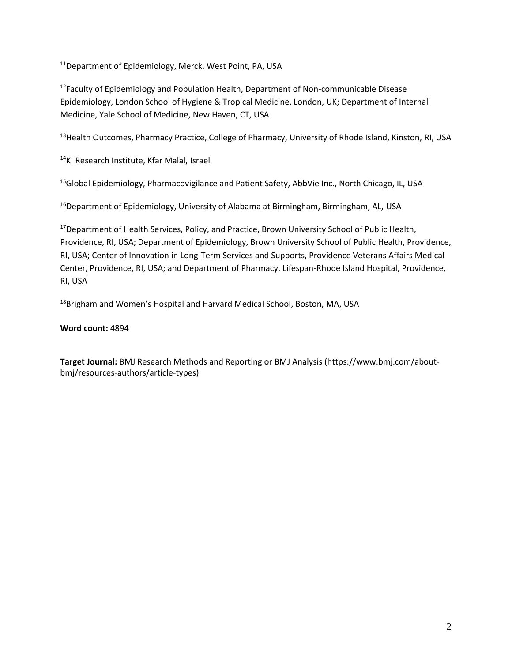<sup>11</sup>Department of Epidemiology, Merck, West Point, PA, USA

<sup>12</sup> Faculty of Epidemiology and Population Health, Department of Non-communicable Disease Epidemiology, London School of Hygiene & Tropical Medicine, London, UK; Department of Internal Medicine, Yale School of Medicine, New Haven, CT, USA

<sup>13</sup> Health Outcomes, Pharmacy Practice, College of Pharmacy, University of Rhode Island, Kinston, RI, USA

<sup>14</sup>KI Research Institute, Kfar Malal, Israel

<sup>15</sup>Global Epidemiology, Pharmacovigilance and Patient Safety, AbbVie Inc., North Chicago, IL, USA

<sup>16</sup>Department of Epidemiology, University of Alabama at Birmingham, Birmingham, AL, USA

<sup>17</sup>Department of Health Services, Policy, and Practice, Brown University School of Public Health, Providence, RI, USA; Department of Epidemiology, Brown University School of Public Health, Providence, RI, USA; Center of Innovation in Long-Term Services and Supports, Providence Veterans Affairs Medical Center, Providence, RI, USA; and Department of Pharmacy, Lifespan-Rhode Island Hospital, Providence, RI, USA

<sup>18</sup>Brigham and Women's Hospital and Harvard Medical School, Boston, MA, USA

#### **Word count:** 4894

**Target Journal:** BMJ Research Methods and Reporting or BMJ Analysis (https://www.bmj.com/aboutbmj/resources-authors/article-types)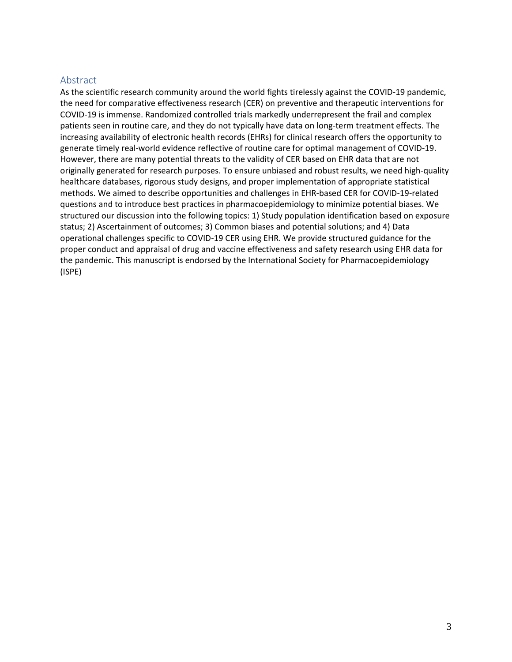#### Abstract

As the scientific research community around the world fights tirelessly against the COVID-19 pandemic, the need for comparative effectiveness research (CER) on preventive and therapeutic interventions for COVID-19 is immense. Randomized controlled trials markedly underrepresent the frail and complex patients seen in routine care, and they do not typically have data on long-term treatment effects. The increasing availability of electronic health records (EHRs) for clinical research offers the opportunity to generate timely real-world evidence reflective of routine care for optimal management of COVID-19. However, there are many potential threats to the validity of CER based on EHR data that are not originally generated for research purposes. To ensure unbiased and robust results, we need high-quality healthcare databases, rigorous study designs, and proper implementation of appropriate statistical methods. We aimed to describe opportunities and challenges in EHR-based CER for COVID-19-related questions and to introduce best practices in pharmacoepidemiology to minimize potential biases. We structured our discussion into the following topics: 1) Study population identification based on exposure status; 2) Ascertainment of outcomes; 3) Common biases and potential solutions; and 4) Data operational challenges specific to COVID-19 CER using EHR. We provide structured guidance for the proper conduct and appraisal of drug and vaccine effectiveness and safety research using EHR data for the pandemic. This manuscript is endorsed by the International Society for Pharmacoepidemiology (ISPE)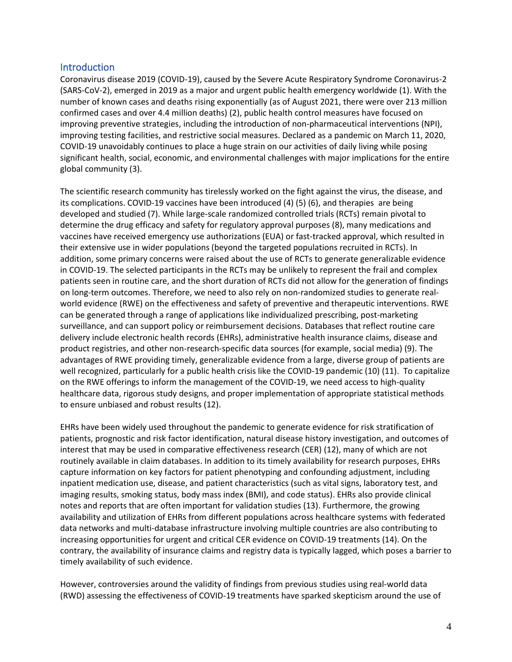#### **Introduction**

Coronavirus disease 2019 (COVID-19), caused by the Severe Acute Respiratory Syndrome Coronavirus-2 (SARS-CoV-2), emerged in 2019 as a major and urgent public health emergency worldwide (1). With the number of known cases and deaths rising exponentially (as of August 2021, there were over 213 million confirmed cases and over 4.4 million deaths) (2), public health control measures have focused on improving preventive strategies, including the introduction of non-pharmaceutical interventions (NPI), improving testing facilities, and restrictive social measures. Declared as a pandemic on March 11, 2020, COVID-19 unavoidably continues to place a huge strain on our activities of daily living while posing significant health, social, economic, and environmental challenges with major implications for the entire global community (3).

The scientific research community has tirelessly worked on the fight against the virus, the disease, and its complications. COVID-19 vaccines have been introduced (4) (5) (6), and therapies are being developed and studied (7). While large-scale randomized controlled trials (RCTs) remain pivotal to determine the drug efficacy and safety for regulatory approval purposes (8), many medications and vaccines have received emergency use authorizations (EUA) or fast-tracked approval, which resulted in their extensive use in wider populations (beyond the targeted populations recruited in RCTs). In addition, some primary concerns were raised about the use of RCTs to generate generalizable evidence in COVID-19. The selected participants in the RCTs may be unlikely to represent the frail and complex patients seen in routine care, and the short duration of RCTs did not allow for the generation of findings on long-term outcomes. Therefore, we need to also rely on non-randomized studies to generate realworld evidence (RWE) on the effectiveness and safety of preventive and therapeutic interventions. RWE can be generated through a range of applications like individualized prescribing, post-marketing surveillance, and can support policy or reimbursement decisions. Databases that reflect routine care delivery include electronic health records (EHRs), administrative health insurance claims, disease and product registries, and other non-research-specific data sources (for example, social media) (9). The advantages of RWE providing timely, generalizable evidence from a large, diverse group of patients are well recognized, particularly for a public health crisis like the COVID-19 pandemic (10) (11). To capitalize on the RWE offerings to inform the management of the COVID-19, we need access to high-quality healthcare data, rigorous study designs, and proper implementation of appropriate statistical methods to ensure unbiased and robust results (12).

EHRs have been widely used throughout the pandemic to generate evidence for risk stratification of patients, prognostic and risk factor identification, natural disease history investigation, and outcomes of interest that may be used in comparative effectiveness research (CER) (12), many of which are not routinely available in claim databases. In addition to its timely availability for research purposes, EHRs capture information on key factors for patient phenotyping and confounding adjustment, including inpatient medication use, disease, and patient characteristics (such as vital signs, laboratory test, and imaging results, smoking status, body mass index (BMI), and code status). EHRs also provide clinical notes and reports that are often important for validation studies (13). Furthermore, the growing availability and utilization of EHRs from different populations across healthcare systems with federated data networks and multi-database infrastructure involving multiple countries are also contributing to increasing opportunities for urgent and critical CER evidence on COVID-19 treatments (14). On the contrary, the availability of insurance claims and registry data is typically lagged, which poses a barrier to timely availability of such evidence.

However, controversies around the validity of findings from previous studies using real-world data (RWD) assessing the effectiveness of COVID-19 treatments have sparked skepticism around the use of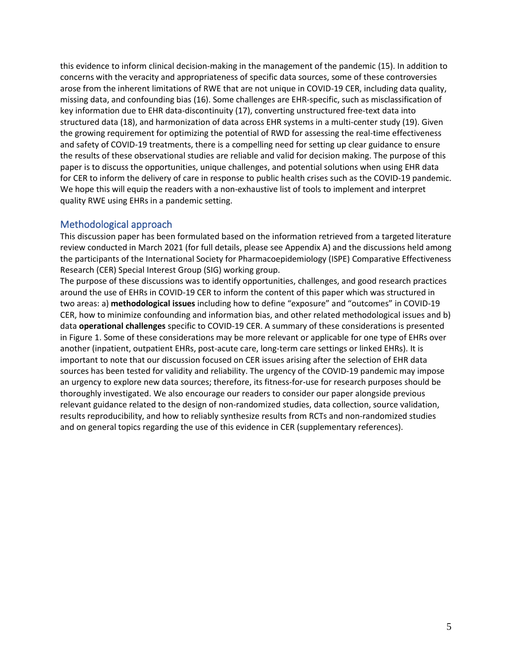this evidence to inform clinical decision-making in the management of the pandemic (15). In addition to concerns with the veracity and appropriateness of specific data sources, some of these controversies arose from the inherent limitations of RWE that are not unique in COVID-19 CER, including data quality, missing data, and confounding bias (16). Some challenges are EHR-specific, such as misclassification of key information due to EHR data-discontinuity (17), converting unstructured free-text data into structured data (18), and harmonization of data across EHR systems in a multi-center study (19). Given the growing requirement for optimizing the potential of RWD for assessing the real-time effectiveness and safety of COVID-19 treatments, there is a compelling need for setting up clear guidance to ensure the results of these observational studies are reliable and valid for decision making. The purpose of this paper is to discuss the opportunities, unique challenges, and potential solutions when using EHR data for CER to inform the delivery of care in response to public health crises such as the COVID-19 pandemic. We hope this will equip the readers with a non-exhaustive list of tools to implement and interpret quality RWE using EHRs in a pandemic setting.

#### Methodological approach

This discussion paper has been formulated based on the information retrieved from a targeted literature review conducted in March 2021 (for full details, please see Appendix A) and the discussions held among the participants of the International Society for Pharmacoepidemiology (ISPE) Comparative Effectiveness Research (CER) Special Interest Group (SIG) working group.

The purpose of these discussions was to identify opportunities, challenges, and good research practices around the use of EHRs in COVID-19 CER to inform the content of this paper which was structured in two areas: a) **methodological issues** including how to define "exposure" and "outcomes" in COVID-19 CER, how to minimize confounding and information bias, and other related methodological issues and b) data **operational challenges** specific to COVID-19 CER. A summary of these considerations is presented in Figure 1. Some of these considerations may be more relevant or applicable for one type of EHRs over another (inpatient, outpatient EHRs, post-acute care, long-term care settings or linked EHRs). It is important to note that our discussion focused on CER issues arising after the selection of EHR data sources has been tested for validity and reliability. The urgency of the COVID-19 pandemic may impose an urgency to explore new data sources; therefore, its fitness-for-use for research purposes should be thoroughly investigated. We also encourage our readers to consider our paper alongside previous relevant guidance related to the design of non-randomized studies, data collection, source validation, results reproducibility, and how to reliably synthesize results from RCTs and non-randomized studies and on general topics regarding the use of this evidence in CER (supplementary references).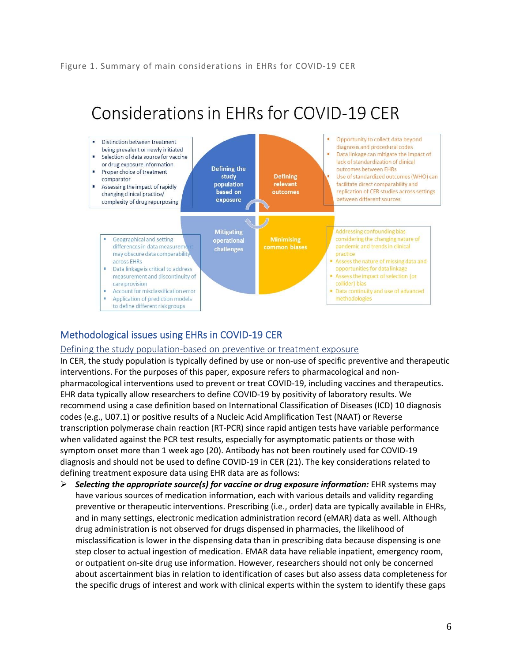#### Figure 1. Summary of main considerations in EHRs for COVID-19 CER

#### Considerations in EHRs for COVID-19 CER Opportunity to collect data beyond Distinction between treatment diagnosis and procedural codes being prevalent or newly initiated Data linkage can mitigate the impact of Selection of data source for vaccine ×. lack of standardization of clinical or drug exposure information **Defining the** outcomes between EHRs Proper choice of treatment **Defining** study Use of standardized outcomes (WHO) can comparator population relevant facilitate direct comparability and Assessing the impact of rapidly based on outcomes replication of CER studies across settings changing clinical practice/ between different sources exposure complexity of drug repurposing **Mitigating Addressing confounding bias** considering the changing nature of Geographical and setting operational pandemic and trends in clinical differences in data measurem common biases challenges may obscure data comparability practice Assess the nature of missing data and across EHRs Data linkage is critical to address opportunities for data linkage measurement and discontinuity of Assess the impact of selection (or collider) bias care provision Account for misclassification error · Data continuity and use of advanced Application of prediction models methodologies to define different risk groups

### Methodological issues using EHRs in COVID-19 CER

#### Defining the study population-based on preventive or treatment exposure

In CER, the study population is typically defined by use or non-use of specific preventive and therapeutic interventions. For the purposes of this paper, exposure refers to pharmacological and nonpharmacological interventions used to prevent or treat COVID-19, including vaccines and therapeutics. EHR data typically allow researchers to define COVID-19 by positivity of laboratory results. We recommend using a case definition based on International Classification of Diseases (ICD) 10 diagnosis codes (e.g., U07.1) or positive results of a Nucleic Acid Amplification Test (NAAT) or Reverse transcription polymerase chain reaction (RT-PCR) since rapid antigen tests have variable performance when validated against the PCR test results, especially for asymptomatic patients or those with symptom onset more than 1 week ago (20). Antibody has not been routinely used for COVID-19 diagnosis and should not be used to define COVID-19 in CER (21). The key considerations related to defining treatment exposure data using EHR data are as follows:

➢ *Selecting the appropriate source(s) for vaccine or drug exposure information:* EHR systems may have various sources of medication information, each with various details and validity regarding preventive or therapeutic interventions. Prescribing (i.e., order) data are typically available in EHRs, and in many settings, electronic medication administration record (eMAR) data as well. Although drug administration is not observed for drugs dispensed in pharmacies, the likelihood of misclassification is lower in the dispensing data than in prescribing data because dispensing is one step closer to actual ingestion of medication. EMAR data have reliable inpatient, emergency room, or outpatient on-site drug use information. However, researchers should not only be concerned about ascertainment bias in relation to identification of cases but also assess data completeness for the specific drugs of interest and work with clinical experts within the system to identify these gaps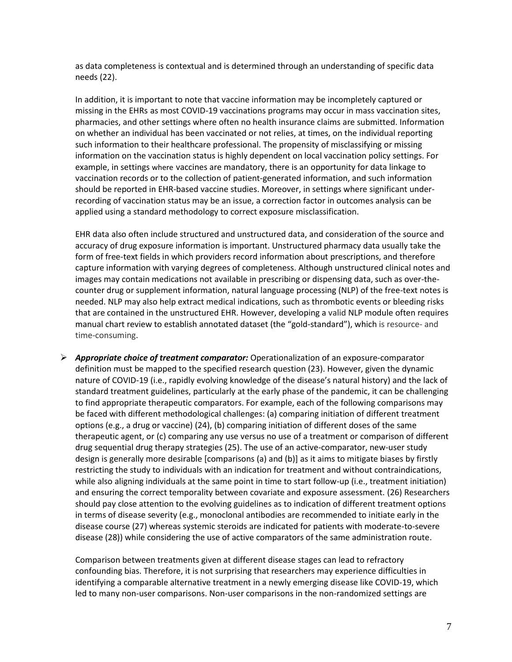as data completeness is contextual and is determined through an understanding of specific data needs (22).

In addition, it is important to note that vaccine information may be incompletely captured or missing in the EHRs as most COVID-19 vaccinations programs may occur in mass vaccination sites, pharmacies, and other settings where often no health insurance claims are submitted. Information on whether an individual has been vaccinated or not relies, at times, on the individual reporting such information to their healthcare professional. The propensity of misclassifying or missing information on the vaccination status is highly dependent on local vaccination policy settings. For example, in settings where vaccines are mandatory, there is an opportunity for data linkage to vaccination records or to the collection of patient-generated information, and such information should be reported in EHR-based vaccine studies. Moreover, in settings where significant underrecording of vaccination status may be an issue, a correction factor in outcomes analysis can be applied using a standard methodology to correct exposure misclassification.

EHR data also often include structured and unstructured data, and consideration of the source and accuracy of drug exposure information is important. Unstructured pharmacy data usually take the form of free-text fields in which providers record information about prescriptions, and therefore capture information with varying degrees of completeness. Although unstructured clinical notes and images may contain medications not available in prescribing or dispensing data, such as over-thecounter drug or supplement information, natural language processing (NLP) of the free-text notes is needed. NLP may also help extract medical indications, such as thrombotic events or bleeding risks that are contained in the unstructured EHR. However, developing a valid NLP module often requires manual chart review to establish annotated dataset (the "gold-standard"), which is resource- and time-consuming.

➢ *Appropriate choice of treatment comparator:* Operationalization of an exposure-comparator definition must be mapped to the specified research question (23). However, given the dynamic nature of COVID-19 (i.e., rapidly evolving knowledge of the disease's natural history) and the lack of standard treatment guidelines, particularly at the early phase of the pandemic, it can be challenging to find appropriate therapeutic comparators. For example, each of the following comparisons may be faced with different methodological challenges: (a) comparing initiation of different treatment options (e.g., a drug or vaccine) (24), (b) comparing initiation of different doses of the same therapeutic agent, or (c) comparing any use versus no use of a treatment or comparison of different drug sequential drug therapy strategies (25). The use of an active-comparator, new-user study design is generally more desirable [comparisons (a) and (b)] as it aims to mitigate biases by firstly restricting the study to individuals with an indication for treatment and without contraindications, while also aligning individuals at the same point in time to start follow-up (i.e., treatment initiation) and ensuring the correct temporality between covariate and exposure assessment. (26) Researchers should pay close attention to the evolving guidelines as to indication of different treatment options in terms of disease severity (e.g., monoclonal antibodies are recommended to initiate early in the disease course (27) whereas systemic steroids are indicated for patients with moderate-to-severe disease (28)) while considering the use of active comparators of the same administration route.

Comparison between treatments given at different disease stages can lead to refractory confounding bias. Therefore, it is not surprising that researchers may experience difficulties in identifying a comparable alternative treatment in a newly emerging disease like COVID-19, which led to many non-user comparisons. Non-user comparisons in the non-randomized settings are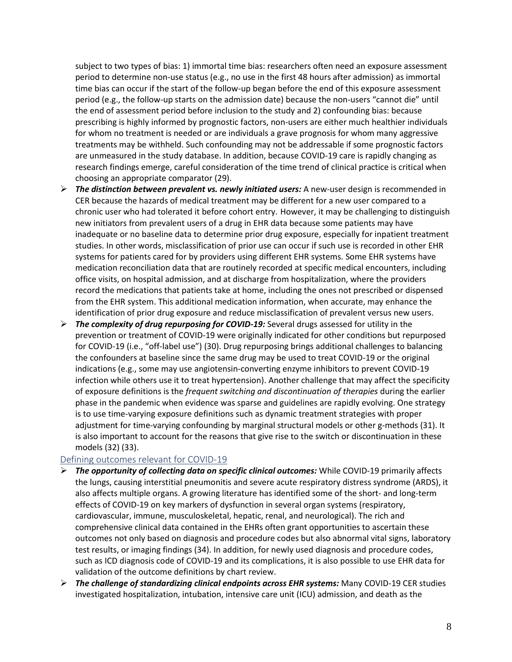subject to two types of bias: 1) immortal time bias: researchers often need an exposure assessment period to determine non-use status (e.g., no use in the first 48 hours after admission) as immortal time bias can occur if the start of the follow-up began before the end of this exposure assessment period (e.g., the follow-up starts on the admission date) because the non-users "cannot die" until the end of assessment period before inclusion to the study and 2) confounding bias: because prescribing is highly informed by prognostic factors, non-users are either much healthier individuals for whom no treatment is needed or are individuals a grave prognosis for whom many aggressive treatments may be withheld. Such confounding may not be addressable if some prognostic factors are unmeasured in the study database. In addition, because COVID-19 care is rapidly changing as research findings emerge, careful consideration of the time trend of clinical practice is critical when choosing an appropriate comparator (29).

- ➢ *The distinction between prevalent vs. newly initiated users:* A new-user design is recommended in CER because the hazards of medical treatment may be different for a new user compared to a chronic user who had tolerated it before cohort entry. However, it may be challenging to distinguish new initiators from prevalent users of a drug in EHR data because some patients may have inadequate or no baseline data to determine prior drug exposure, especially for inpatient treatment studies. In other words, misclassification of prior use can occur if such use is recorded in other EHR systems for patients cared for by providers using different EHR systems. Some EHR systems have medication reconciliation data that are routinely recorded at specific medical encounters, including office visits, on hospital admission, and at discharge from hospitalization, where the providers record the medications that patients take at home, including the ones not prescribed or dispensed from the EHR system. This additional medication information, when accurate, may enhance the identification of prior drug exposure and reduce misclassification of prevalent versus new users.
- ➢ *The complexity of drug repurposing for COVID-19:* Several drugs assessed for utility in the prevention or treatment of COVID-19 were originally indicated for other conditions but repurposed for COVID-19 (i.e., "off-label use") (30). Drug repurposing brings additional challenges to balancing the confounders at baseline since the same drug may be used to treat COVID-19 or the original indications (e.g., some may use angiotensin-converting enzyme inhibitors to prevent COVID-19 infection while others use it to treat hypertension). Another challenge that may affect the specificity of exposure definitions is the *frequent switching and discontinuation of therapies* during the earlier phase in the pandemic when evidence was sparse and guidelines are rapidly evolving. One strategy is to use time-varying exposure definitions such as dynamic treatment strategies with proper adjustment for time-varying confounding by marginal structural models or other g-methods (31). It is also important to account for the reasons that give rise to the switch or discontinuation in these models (32) (33).

#### Defining outcomes relevant for COVID-19

- ➢ *The opportunity of collecting data on specific clinical outcomes:* While COVID-19 primarily affects the lungs, causing interstitial pneumonitis and severe acute respiratory distress syndrome (ARDS), it also affects multiple organs. A growing literature has identified some of the short- and long-term effects of COVID-19 on key markers of dysfunction in several organ systems (respiratory, cardiovascular, immune, musculoskeletal, hepatic, renal, and neurological). The rich and comprehensive clinical data contained in the EHRs often grant opportunities to ascertain these outcomes not only based on diagnosis and procedure codes but also abnormal vital signs, laboratory test results, or imaging findings (34). In addition, for newly used diagnosis and procedure codes, such as ICD diagnosis code of COVID-19 and its complications, it is also possible to use EHR data for validation of the outcome definitions by chart review.
- ➢ *The challenge of standardizing clinical endpoints across EHR systems:* Many COVID-19 CER studies investigated hospitalization, intubation, intensive care unit (ICU) admission, and death as the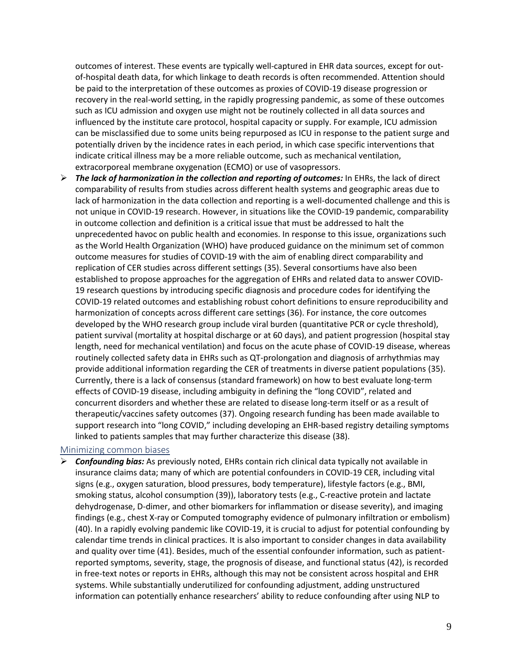outcomes of interest. These events are typically well‐captured in EHR data sources, except for outof-hospital death data, for which linkage to death records is often recommended. Attention should be paid to the interpretation of these outcomes as proxies of COVID-19 disease progression or recovery in the real-world setting, in the rapidly progressing pandemic, as some of these outcomes such as ICU admission and oxygen use might not be routinely collected in all data sources and influenced by the institute care protocol, hospital capacity or supply. For example, ICU admission can be misclassified due to some units being repurposed as ICU in response to the patient surge and potentially driven by the incidence rates in each period, in which case specific interventions that indicate critical illness may be a more reliable outcome, such as mechanical ventilation, extracorporeal membrane oxygenation (ECMO) or use of vasopressors.

➢ *The lack of harmonization in the collection and reporting of outcomes:* In EHRs, the lack of direct comparability of results from studies across different health systems and geographic areas due to lack of harmonization in the data collection and reporting is a well-documented challenge and this is not unique in COVID-19 research. However, in situations like the COVID-19 pandemic, comparability in outcome collection and definition is a critical issue that must be addressed to halt the unprecedented havoc on public health and economies. In response to this issue, organizations such as the World Health Organization (WHO) have produced guidance on the minimum set of common outcome measures for studies of COVID-19 with the aim of enabling direct comparability and replication of CER studies across different settings (35). Several consortiums have also been established to propose approaches for the aggregation of EHRs and related data to answer COVID-19 research questions by introducing specific diagnosis and procedure codes for identifying the COVID-19 related outcomes and establishing robust cohort definitions to ensure reproducibility and harmonization of concepts across different care settings (36). For instance, the core outcomes developed by the WHO research group include viral burden (quantitative PCR or cycle threshold), patient survival (mortality at hospital discharge or at 60 days), and patient progression (hospital stay length, need for mechanical ventilation) and focus on the acute phase of COVID-19 disease, whereas routinely collected safety data in EHRs such as QT-prolongation and diagnosis of arrhythmias may provide additional information regarding the CER of treatments in diverse patient populations (35). Currently, there is a lack of consensus (standard framework) on how to best evaluate long-term effects of COVID-19 disease, including ambiguity in defining the "long COVID", related and concurrent disorders and whether these are related to disease long-term itself or as a result of therapeutic/vaccines safety outcomes (37). Ongoing research funding has been made available to support research into "long COVID," including developing an EHR-based registry detailing symptoms linked to patients samples that may further characterize this disease (38).

#### Minimizing common biases

➢ *Confounding bias:* As previously noted, EHRs contain rich clinical data typically not available in insurance claims data; many of which are potential confounders in COVID-19 CER, including vital signs (e.g., oxygen saturation, blood pressures, body temperature), lifestyle factors (e.g., BMI, smoking status, alcohol consumption (39)), laboratory tests (e.g., C-reactive protein and lactate dehydrogenase, D-dimer, and other biomarkers for inflammation or disease severity), and imaging findings (e.g., chest X-ray or Computed tomography evidence of pulmonary infiltration or embolism) (40). In a rapidly evolving pandemic like COVID-19, it is crucial to adjust for potential confounding by calendar time trends in clinical practices. It is also important to consider changes in data availability and quality over time (41). Besides, much of the essential confounder information, such as patientreported symptoms, severity, stage, the prognosis of disease, and functional status (42), is recorded in free-text notes or reports in EHRs, although this may not be consistent across hospital and EHR systems. While substantially underutilized for confounding adjustment, adding unstructured information can potentially enhance researchers' ability to reduce confounding after using NLP to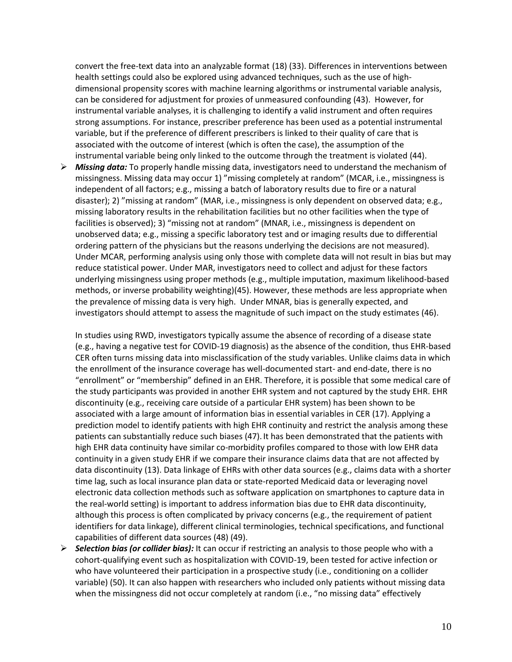convert the free-text data into an analyzable format (18) (33). Differences in interventions between health settings could also be explored using advanced techniques, such as the use of highdimensional propensity scores with machine learning algorithms or instrumental variable analysis, can be considered for adjustment for proxies of unmeasured confounding (43). However, for instrumental variable analyses, it is challenging to identify a valid instrument and often requires strong assumptions. For instance, prescriber preference has been used as a potential instrumental variable, but if the preference of different prescribers is linked to their quality of care that is associated with the outcome of interest (which is often the case), the assumption of the instrumental variable being only linked to the outcome through the treatment is violated (44).

➢ *Missing data:* To properly handle missing data, investigators need to understand the mechanism of missingness. Missing data may occur 1) "missing completely at random" (MCAR, i.e., missingness is independent of all factors; e.g., missing a batch of laboratory results due to fire or a natural disaster); 2) "missing at random" (MAR, i.e., missingness is only dependent on observed data; e.g., missing laboratory results in the rehabilitation facilities but no other facilities when the type of facilities is observed); 3) "missing not at random" (MNAR, i.e., missingness is dependent on unobserved data; e.g., missing a specific laboratory test and or imaging results due to differential ordering pattern of the physicians but the reasons underlying the decisions are not measured). Under MCAR, performing analysis using only those with complete data will not result in bias but may reduce statistical power. Under MAR, investigators need to collect and adjust for these factors underlying missingness using proper methods (e.g., multiple imputation, maximum likelihood-based methods, or inverse probability weighting)(45). However, these methods are less appropriate when the prevalence of missing data is very high. Under MNAR, bias is generally expected, and investigators should attempt to assess the magnitude of such impact on the study estimates (46).

In studies using RWD, investigators typically assume the absence of recording of a disease state (e.g., having a negative test for COVID-19 diagnosis) as the absence of the condition, thus EHR-based CER often turns missing data into misclassification of the study variables. Unlike claims data in which the enrollment of the insurance coverage has well-documented start- and end-date, there is no "enrollment" or "membership" defined in an EHR. Therefore, it is possible that some medical care of the study participants was provided in another EHR system and not captured by the study EHR. EHR discontinuity (e.g., receiving care outside of a particular EHR system) has been shown to be associated with a large amount of information bias in essential variables in CER (17). Applying a prediction model to identify patients with high EHR continuity and restrict the analysis among these patients can substantially reduce such biases (47). It has been demonstrated that the patients with high EHR data continuity have similar co-morbidity profiles compared to those with low EHR data continuity in a given study EHR if we compare their insurance claims data that are not affected by data discontinuity (13). Data linkage of EHRs with other data sources (e.g., claims data with a shorter time lag, such as local insurance plan data or state-reported Medicaid data or leveraging novel electronic data collection methods such as software application on smartphones to capture data in the real-world setting) is important to address information bias due to EHR data discontinuity, although this process is often complicated by privacy concerns (e.g., the requirement of patient identifiers for data linkage), different clinical terminologies, technical specifications, and functional capabilities of different data sources (48) (49).

➢ *Selection bias (or collider bias):* It can occur if restricting an analysis to those people who with a cohort-qualifying event such as hospitalization with COVID-19, been tested for active infection or who have volunteered their participation in a prospective study (i.e., conditioning on a collider variable) (50). It can also happen with researchers who included only patients without missing data when the missingness did not occur completely at random (i.e., "no missing data" effectively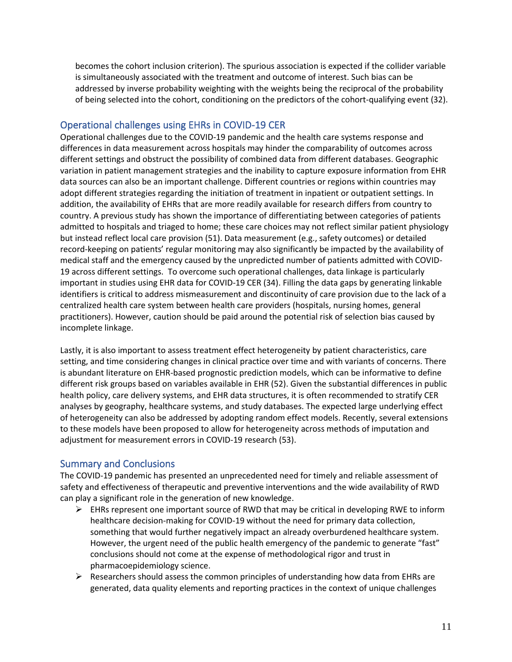becomes the cohort inclusion criterion). The spurious association is expected if the collider variable is simultaneously associated with the treatment and outcome of interest. Such bias can be addressed by inverse probability weighting with the weights being the reciprocal of the probability of being selected into the cohort, conditioning on the predictors of the cohort-qualifying event (32).

#### Operational challenges using EHRs in COVID-19 CER

Operational challenges due to the COVID-19 pandemic and the health care systems response and differences in data measurement across hospitals may hinder the comparability of outcomes across different settings and obstruct the possibility of combined data from different databases. Geographic variation in patient management strategies and the inability to capture exposure information from EHR data sources can also be an important challenge. Different countries or regions within countries may adopt different strategies regarding the initiation of treatment in inpatient or outpatient settings. In addition, the availability of EHRs that are more readily available for research differs from country to country. A previous study has shown the importance of differentiating between categories of patients admitted to hospitals and triaged to home; these care choices may not reflect similar patient physiology but instead reflect local care provision (51). Data measurement (e.g., safety outcomes) or detailed record-keeping on patients' regular monitoring may also significantly be impacted by the availability of medical staff and the emergency caused by the unpredicted number of patients admitted with COVID-19 across different settings. To overcome such operational challenges, data linkage is particularly important in studies using EHR data for COVID-19 CER (34). Filling the data gaps by generating linkable identifiers is critical to address mismeasurement and discontinuity of care provision due to the lack of a centralized health care system between health care providers (hospitals, nursing homes, general practitioners). However, caution should be paid around the potential risk of selection bias caused by incomplete linkage.

Lastly, it is also important to assess treatment effect heterogeneity by patient characteristics, care setting, and time considering changes in clinical practice over time and with variants of concerns. There is abundant literature on EHR-based prognostic prediction models, which can be informative to define different risk groups based on variables available in EHR (52). Given the substantial differences in public health policy, care delivery systems, and EHR data structures, it is often recommended to stratify CER analyses by geography, healthcare systems, and study databases. The expected large underlying effect of heterogeneity can also be addressed by adopting random effect models. Recently, several extensions to these models have been proposed to allow for heterogeneity across methods of imputation and adjustment for measurement errors in COVID-19 research (53).

#### Summary and Conclusions

The COVID-19 pandemic has presented an unprecedented need for timely and reliable assessment of safety and effectiveness of therapeutic and preventive interventions and the wide availability of RWD can play a significant role in the generation of new knowledge.

- $\triangleright$  EHRs represent one important source of RWD that may be critical in developing RWE to inform healthcare decision-making for COVID-19 without the need for primary data collection, something that would further negatively impact an already overburdened healthcare system. However, the urgent need of the public health emergency of the pandemic to generate "fast" conclusions should not come at the expense of methodological rigor and trust in pharmacoepidemiology science.
- $\triangleright$  Researchers should assess the common principles of understanding how data from EHRs are generated, data quality elements and reporting practices in the context of unique challenges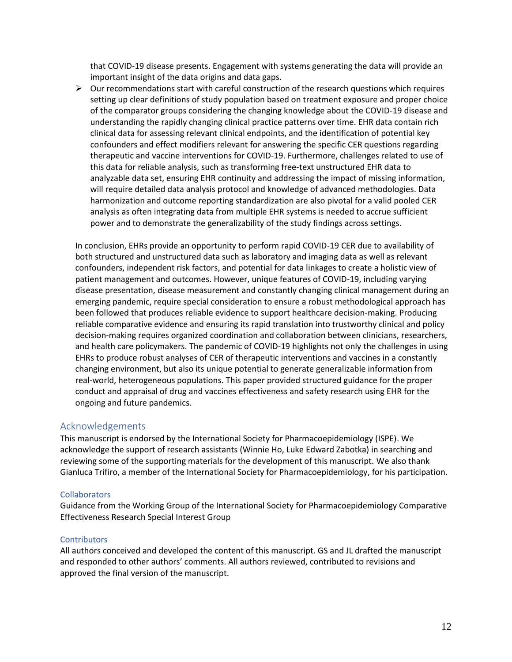that COVID-19 disease presents. Engagement with systems generating the data will provide an important insight of the data origins and data gaps.

 $\triangleright$  Our recommendations start with careful construction of the research questions which requires setting up clear definitions of study population based on treatment exposure and proper choice of the comparator groups considering the changing knowledge about the COVID-19 disease and understanding the rapidly changing clinical practice patterns over time. EHR data contain rich clinical data for assessing relevant clinical endpoints, and the identification of potential key confounders and effect modifiers relevant for answering the specific CER questions regarding therapeutic and vaccine interventions for COVID-19. Furthermore, challenges related to use of this data for reliable analysis, such as transforming free-text unstructured EHR data to analyzable data set, ensuring EHR continuity and addressing the impact of missing information, will require detailed data analysis protocol and knowledge of advanced methodologies. Data harmonization and outcome reporting standardization are also pivotal for a valid pooled CER analysis as often integrating data from multiple EHR systems is needed to accrue sufficient power and to demonstrate the generalizability of the study findings across settings.

In conclusion, EHRs provide an opportunity to perform rapid COVID-19 CER due to availability of both structured and unstructured data such as laboratory and imaging data as well as relevant confounders, independent risk factors, and potential for data linkages to create a holistic view of patient management and outcomes. However, unique features of COVID-19, including varying disease presentation, disease measurement and constantly changing clinical management during an emerging pandemic, require special consideration to ensure a robust methodological approach has been followed that produces reliable evidence to support healthcare decision-making. Producing reliable comparative evidence and ensuring its rapid translation into trustworthy clinical and policy decision-making requires organized coordination and collaboration between clinicians, researchers, and health care policymakers. The pandemic of COVID-19 highlights not only the challenges in using EHRs to produce robust analyses of CER of therapeutic interventions and vaccines in a constantly changing environment, but also its unique potential to generate generalizable information from real-world, heterogeneous populations. This paper provided structured guidance for the proper conduct and appraisal of drug and vaccines effectiveness and safety research using EHR for the ongoing and future pandemics.

#### Acknowledgements

This manuscript is endorsed by the International Society for Pharmacoepidemiology (ISPE). We acknowledge the support of research assistants (Winnie Ho, Luke Edward Zabotka) in searching and reviewing some of the supporting materials for the development of this manuscript. We also thank Gianluca Trifiro, a member of the International Society for Pharmacoepidemiology, for his participation.

#### **Collaborators**

Guidance from the Working Group of the International Society for Pharmacoepidemiology Comparative Effectiveness Research Special Interest Group

#### **Contributors**

All authors conceived and developed the content of this manuscript. GS and JL drafted the manuscript and responded to other authors' comments. All authors reviewed, contributed to revisions and approved the final version of the manuscript.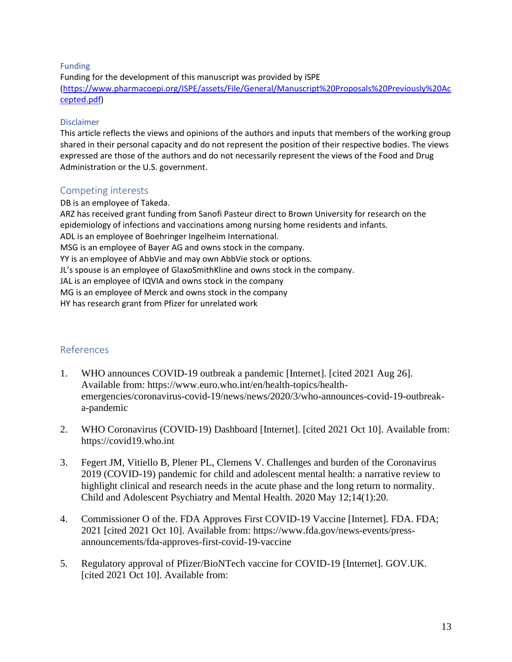#### Funding

Funding for the development of this manuscript was provided by ISPE [\(https://www.pharmacoepi.org/ISPE/assets/File/General/Manuscript%20Proposals%20Previously%20Ac](https://www.pharmacoepi.org/ISPE/assets/File/General/Manuscript%20Proposals%20Previously%20Accepted.pdf) [cepted.pdf\)](https://www.pharmacoepi.org/ISPE/assets/File/General/Manuscript%20Proposals%20Previously%20Accepted.pdf)

#### Disclaimer

This article reflects the views and opinions of the authors and inputs that members of the working group shared in their personal capacity and do not represent the position of their respective bodies. The views expressed are those of the authors and do not necessarily represent the views of the Food and Drug Administration or the U.S. government.

#### Competing interests

DB is an employee of Takeda. ARZ has received grant funding from Sanofi Pasteur direct to Brown University for research on the epidemiology of infections and vaccinations among nursing home residents and infants. ADL is an employee of Boehringer Ingelheim International. MSG is an employee of Bayer AG and owns stock in the company. YY is an employee of AbbVie and may own AbbVie stock or options. JL's spouse is an employee of GlaxoSmithKline and owns stock in the company. JAL is an employee of IQVIA and owns stock in the company MG is an employee of Merck and owns stock in the company HY has research grant from Pfizer for unrelated work

#### References

- 1. WHO announces COVID-19 outbreak a pandemic [Internet]. [cited 2021 Aug 26]. Available from: https://www.euro.who.int/en/health-topics/healthemergencies/coronavirus-covid-19/news/news/2020/3/who-announces-covid-19-outbreaka-pandemic
- 2. WHO Coronavirus (COVID-19) Dashboard [Internet]. [cited 2021 Oct 10]. Available from: https://covid19.who.int
- 3. Fegert JM, Vitiello B, Plener PL, Clemens V. Challenges and burden of the Coronavirus 2019 (COVID-19) pandemic for child and adolescent mental health: a narrative review to highlight clinical and research needs in the acute phase and the long return to normality. Child and Adolescent Psychiatry and Mental Health. 2020 May 12;14(1):20.
- 4. Commissioner O of the. FDA Approves First COVID-19 Vaccine [Internet]. FDA. FDA; 2021 [cited 2021 Oct 10]. Available from: https://www.fda.gov/news-events/pressannouncements/fda-approves-first-covid-19-vaccine
- 5. Regulatory approval of Pfizer/BioNTech vaccine for COVID-19 [Internet]. GOV.UK. [cited 2021 Oct 10]. Available from: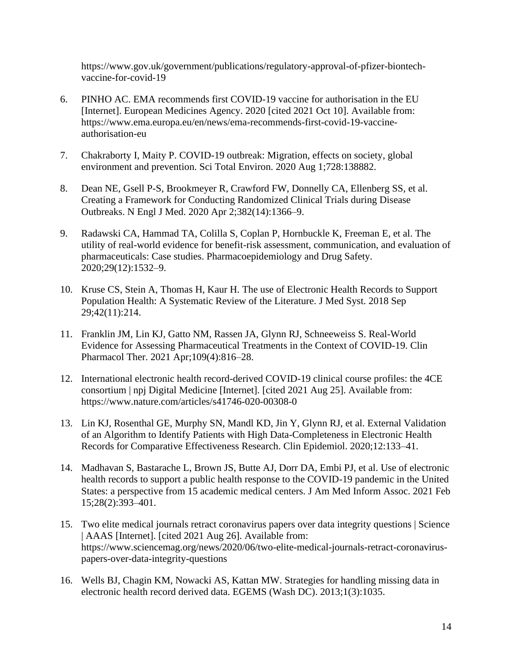https://www.gov.uk/government/publications/regulatory-approval-of-pfizer-biontechvaccine-for-covid-19

- 6. PINHO AC. EMA recommends first COVID-19 vaccine for authorisation in the EU [Internet]. European Medicines Agency. 2020 [cited 2021 Oct 10]. Available from: https://www.ema.europa.eu/en/news/ema-recommends-first-covid-19-vaccineauthorisation-eu
- 7. Chakraborty I, Maity P. COVID-19 outbreak: Migration, effects on society, global environment and prevention. Sci Total Environ. 2020 Aug 1;728:138882.
- 8. Dean NE, Gsell P-S, Brookmeyer R, Crawford FW, Donnelly CA, Ellenberg SS, et al. Creating a Framework for Conducting Randomized Clinical Trials during Disease Outbreaks. N Engl J Med. 2020 Apr 2;382(14):1366–9.
- 9. Radawski CA, Hammad TA, Colilla S, Coplan P, Hornbuckle K, Freeman E, et al. The utility of real-world evidence for benefit-risk assessment, communication, and evaluation of pharmaceuticals: Case studies. Pharmacoepidemiology and Drug Safety. 2020;29(12):1532–9.
- 10. Kruse CS, Stein A, Thomas H, Kaur H. The use of Electronic Health Records to Support Population Health: A Systematic Review of the Literature. J Med Syst. 2018 Sep 29;42(11):214.
- 11. Franklin JM, Lin KJ, Gatto NM, Rassen JA, Glynn RJ, Schneeweiss S. Real-World Evidence for Assessing Pharmaceutical Treatments in the Context of COVID-19. Clin Pharmacol Ther. 2021 Apr;109(4):816–28.
- 12. International electronic health record-derived COVID-19 clinical course profiles: the 4CE consortium | npj Digital Medicine [Internet]. [cited 2021 Aug 25]. Available from: https://www.nature.com/articles/s41746-020-00308-0
- 13. Lin KJ, Rosenthal GE, Murphy SN, Mandl KD, Jin Y, Glynn RJ, et al. External Validation of an Algorithm to Identify Patients with High Data-Completeness in Electronic Health Records for Comparative Effectiveness Research. Clin Epidemiol. 2020;12:133–41.
- 14. Madhavan S, Bastarache L, Brown JS, Butte AJ, Dorr DA, Embi PJ, et al. Use of electronic health records to support a public health response to the COVID-19 pandemic in the United States: a perspective from 15 academic medical centers. J Am Med Inform Assoc. 2021 Feb 15;28(2):393–401.
- 15. Two elite medical journals retract coronavirus papers over data integrity questions | Science | AAAS [Internet]. [cited 2021 Aug 26]. Available from: https://www.sciencemag.org/news/2020/06/two-elite-medical-journals-retract-coronaviruspapers-over-data-integrity-questions
- 16. Wells BJ, Chagin KM, Nowacki AS, Kattan MW. Strategies for handling missing data in electronic health record derived data. EGEMS (Wash DC). 2013;1(3):1035.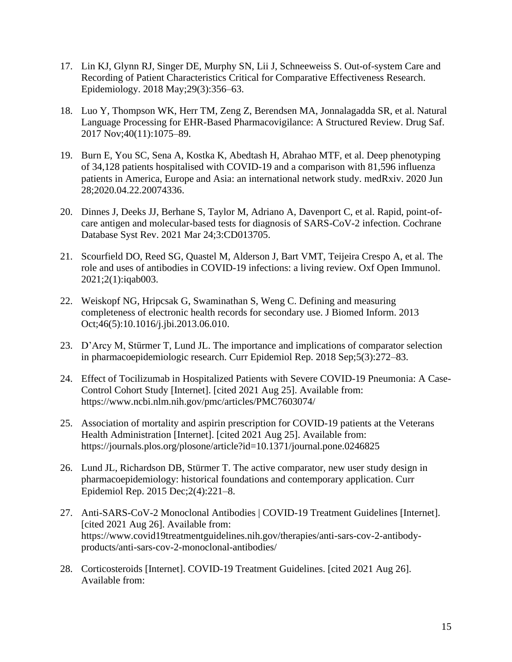- 17. Lin KJ, Glynn RJ, Singer DE, Murphy SN, Lii J, Schneeweiss S. Out-of-system Care and Recording of Patient Characteristics Critical for Comparative Effectiveness Research. Epidemiology. 2018 May;29(3):356–63.
- 18. Luo Y, Thompson WK, Herr TM, Zeng Z, Berendsen MA, Jonnalagadda SR, et al. Natural Language Processing for EHR-Based Pharmacovigilance: A Structured Review. Drug Saf. 2017 Nov;40(11):1075–89.
- 19. Burn E, You SC, Sena A, Kostka K, Abedtash H, Abrahao MTF, et al. Deep phenotyping of 34,128 patients hospitalised with COVID-19 and a comparison with 81,596 influenza patients in America, Europe and Asia: an international network study. medRxiv. 2020 Jun 28;2020.04.22.20074336.
- 20. Dinnes J, Deeks JJ, Berhane S, Taylor M, Adriano A, Davenport C, et al. Rapid, point-ofcare antigen and molecular-based tests for diagnosis of SARS-CoV-2 infection. Cochrane Database Syst Rev. 2021 Mar 24;3:CD013705.
- 21. Scourfield DO, Reed SG, Quastel M, Alderson J, Bart VMT, Teijeira Crespo A, et al. The role and uses of antibodies in COVID-19 infections: a living review. Oxf Open Immunol. 2021;2(1):iqab003.
- 22. Weiskopf NG, Hripcsak G, Swaminathan S, Weng C. Defining and measuring completeness of electronic health records for secondary use. J Biomed Inform. 2013 Oct;46(5):10.1016/j.jbi.2013.06.010.
- 23. D'Arcy M, Stürmer T, Lund JL. The importance and implications of comparator selection in pharmacoepidemiologic research. Curr Epidemiol Rep. 2018 Sep;5(3):272–83.
- 24. Effect of Tocilizumab in Hospitalized Patients with Severe COVID-19 Pneumonia: A Case-Control Cohort Study [Internet]. [cited 2021 Aug 25]. Available from: https://www.ncbi.nlm.nih.gov/pmc/articles/PMC7603074/
- 25. Association of mortality and aspirin prescription for COVID-19 patients at the Veterans Health Administration [Internet]. [cited 2021 Aug 25]. Available from: https://journals.plos.org/plosone/article?id=10.1371/journal.pone.0246825
- 26. Lund JL, Richardson DB, Stürmer T. The active comparator, new user study design in pharmacoepidemiology: historical foundations and contemporary application. Curr Epidemiol Rep. 2015 Dec;2(4):221–8.
- 27. Anti-SARS-CoV-2 Monoclonal Antibodies | COVID-19 Treatment Guidelines [Internet]. [cited 2021 Aug 26]. Available from: https://www.covid19treatmentguidelines.nih.gov/therapies/anti-sars-cov-2-antibodyproducts/anti-sars-cov-2-monoclonal-antibodies/
- 28. Corticosteroids [Internet]. COVID-19 Treatment Guidelines. [cited 2021 Aug 26]. Available from: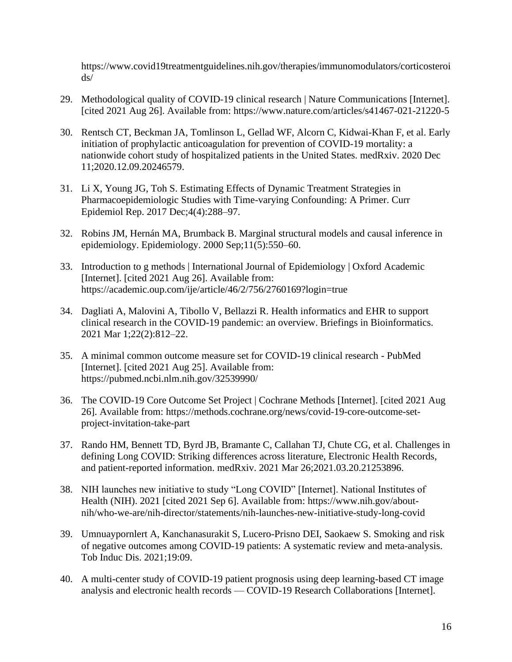https://www.covid19treatmentguidelines.nih.gov/therapies/immunomodulators/corticosteroi ds/

- 29. Methodological quality of COVID-19 clinical research | Nature Communications [Internet]. [cited 2021 Aug 26]. Available from: https://www.nature.com/articles/s41467-021-21220-5
- 30. Rentsch CT, Beckman JA, Tomlinson L, Gellad WF, Alcorn C, Kidwai-Khan F, et al. Early initiation of prophylactic anticoagulation for prevention of COVID-19 mortality: a nationwide cohort study of hospitalized patients in the United States. medRxiv. 2020 Dec 11;2020.12.09.20246579.
- 31. Li X, Young JG, Toh S. Estimating Effects of Dynamic Treatment Strategies in Pharmacoepidemiologic Studies with Time-varying Confounding: A Primer. Curr Epidemiol Rep. 2017 Dec;4(4):288–97.
- 32. Robins JM, Hernán MA, Brumback B. Marginal structural models and causal inference in epidemiology. Epidemiology. 2000 Sep;11(5):550–60.
- 33. Introduction to g methods | International Journal of Epidemiology | Oxford Academic [Internet]. [cited 2021 Aug 26]. Available from: https://academic.oup.com/ije/article/46/2/756/2760169?login=true
- 34. Dagliati A, Malovini A, Tibollo V, Bellazzi R. Health informatics and EHR to support clinical research in the COVID-19 pandemic: an overview. Briefings in Bioinformatics. 2021 Mar 1;22(2):812–22.
- 35. A minimal common outcome measure set for COVID-19 clinical research PubMed [Internet]. [cited 2021 Aug 25]. Available from: https://pubmed.ncbi.nlm.nih.gov/32539990/
- 36. The COVID-19 Core Outcome Set Project | Cochrane Methods [Internet]. [cited 2021 Aug 26]. Available from: https://methods.cochrane.org/news/covid-19-core-outcome-setproject-invitation-take-part
- 37. Rando HM, Bennett TD, Byrd JB, Bramante C, Callahan TJ, Chute CG, et al. Challenges in defining Long COVID: Striking differences across literature, Electronic Health Records, and patient-reported information. medRxiv. 2021 Mar 26;2021.03.20.21253896.
- 38. NIH launches new initiative to study "Long COVID" [Internet]. National Institutes of Health (NIH). 2021 [cited 2021 Sep 6]. Available from: https://www.nih.gov/aboutnih/who-we-are/nih-director/statements/nih-launches-new-initiative-study-long-covid
- 39. Umnuaypornlert A, Kanchanasurakit S, Lucero-Prisno DEI, Saokaew S. Smoking and risk of negative outcomes among COVID-19 patients: A systematic review and meta-analysis. Tob Induc Dis. 2021;19:09.
- 40. A multi-center study of COVID-19 patient prognosis using deep learning-based CT image analysis and electronic health records — COVID-19 Research Collaborations [Internet].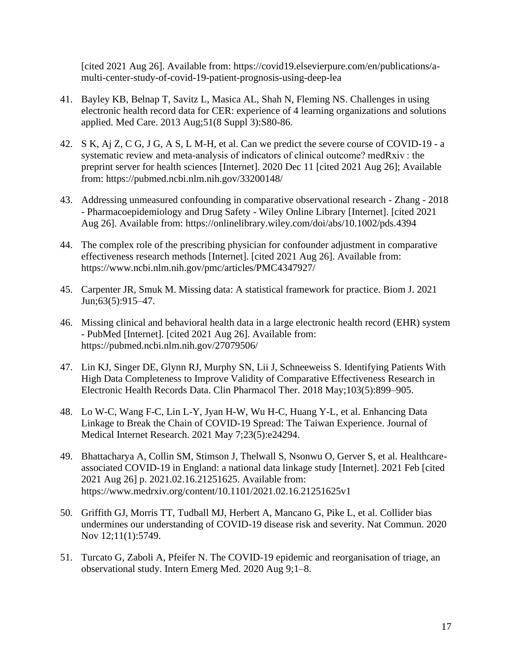[cited 2021 Aug 26]. Available from: https://covid19.elsevierpure.com/en/publications/amulti-center-study-of-covid-19-patient-prognosis-using-deep-lea

- 41. Bayley KB, Belnap T, Savitz L, Masica AL, Shah N, Fleming NS. Challenges in using electronic health record data for CER: experience of 4 learning organizations and solutions applied. Med Care. 2013 Aug;51(8 Suppl 3):S80-86.
- 42. S K, Aj Z, C G, J G, A S, L M-H, et al. Can we predict the severe course of COVID-19 a systematic review and meta-analysis of indicators of clinical outcome? medRxiv : the preprint server for health sciences [Internet]. 2020 Dec 11 [cited 2021 Aug 26]; Available from: https://pubmed.ncbi.nlm.nih.gov/33200148/
- 43. Addressing unmeasured confounding in comparative observational research Zhang 2018 - Pharmacoepidemiology and Drug Safety - Wiley Online Library [Internet]. [cited 2021 Aug 26]. Available from: https://onlinelibrary.wiley.com/doi/abs/10.1002/pds.4394
- 44. The complex role of the prescribing physician for confounder adjustment in comparative effectiveness research methods [Internet]. [cited 2021 Aug 26]. Available from: https://www.ncbi.nlm.nih.gov/pmc/articles/PMC4347927/
- 45. Carpenter JR, Smuk M. Missing data: A statistical framework for practice. Biom J. 2021 Jun;63(5):915–47.
- 46. Missing clinical and behavioral health data in a large electronic health record (EHR) system - PubMed [Internet]. [cited 2021 Aug 26]. Available from: https://pubmed.ncbi.nlm.nih.gov/27079506/
- 47. Lin KJ, Singer DE, Glynn RJ, Murphy SN, Lii J, Schneeweiss S. Identifying Patients With High Data Completeness to Improve Validity of Comparative Effectiveness Research in Electronic Health Records Data. Clin Pharmacol Ther. 2018 May;103(5):899–905.
- 48. Lo W-C, Wang F-C, Lin L-Y, Jyan H-W, Wu H-C, Huang Y-L, et al. Enhancing Data Linkage to Break the Chain of COVID-19 Spread: The Taiwan Experience. Journal of Medical Internet Research. 2021 May 7;23(5):e24294.
- 49. Bhattacharya A, Collin SM, Stimson J, Thelwall S, Nsonwu O, Gerver S, et al. Healthcareassociated COVID-19 in England: a national data linkage study [Internet]. 2021 Feb [cited 2021 Aug 26] p. 2021.02.16.21251625. Available from: https://www.medrxiv.org/content/10.1101/2021.02.16.21251625v1
- 50. Griffith GJ, Morris TT, Tudball MJ, Herbert A, Mancano G, Pike L, et al. Collider bias undermines our understanding of COVID-19 disease risk and severity. Nat Commun. 2020 Nov 12;11(1):5749.
- 51. Turcato G, Zaboli A, Pfeifer N. The COVID-19 epidemic and reorganisation of triage, an observational study. Intern Emerg Med. 2020 Aug 9;1–8.